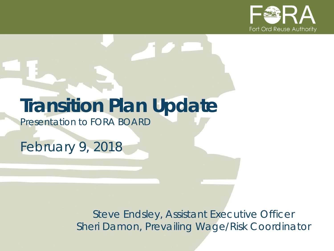

# **Transition Plan Update**

*Presentation to FORA BOARD*

*February 9, 2018*

*Steve Endsley, Assistant Executive Officer Sheri Damon, Prevailing Wage/Risk Coordinator*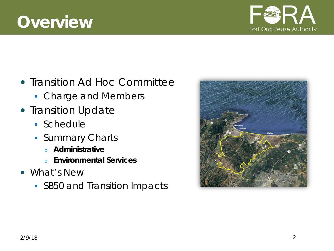### **Overview**

- Transition Ad Hoc Committee
	- **Charge and Members**
- Transition Update
	- Schedule
	- **Summary Charts** 
		- <sup>o</sup> **Administrative**
		- <sup>o</sup> **Environmental Services**
- What's New
	- SB50 and Transition Impacts



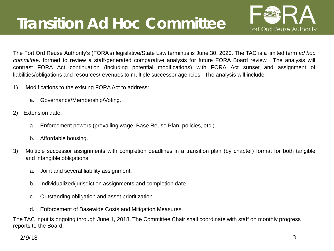## **Transition Ad Hoc Committee**



The Fort Ord Reuse Authority's (FORA's) legislative/State Law terminus is June 30, 2020. The TAC is a limited term *ad hoc committee,* formed to review a staff-generated comparative analysis for future FORA Board review. The analysis will contrast FORA Act continuation (including potential modifications) with FORA Act sunset and assignment of liabilities/obligations and resources/revenues to multiple successor agencies. The analysis will include:

- 1) Modifications to the existing FORA Act to address:
	- a. Governance/Membership/Voting.
- 2) Extension date.
	- a. Enforcement powers (prevailing wage, Base Reuse Plan, policies, etc.).
	- b. Affordable housing.
- 3) Multiple successor assignments with completion deadlines in a transition plan (by chapter) format for both tangible and intangible obligations.
	- a. Joint and several liability assignment.
	- b. Individualized/jurisdiction assignments and completion date.
	- c. Outstanding obligation and asset prioritization.
	- d. Enforcement of Basewide Costs and Mitigation Measures.

The TAC input is ongoing through June 1, 2018. The Committee Chair shall coordinate with staff on monthly progress reports to the Board.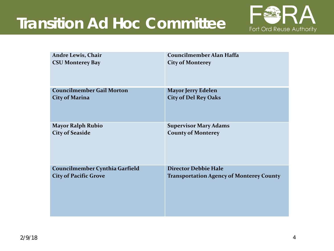## **Transition Ad Hoc Committee**



| <b>Andre Lewis, Chair</b>        | Councilmember Alan Haffa                        |
|----------------------------------|-------------------------------------------------|
| <b>CSU Monterey Bay</b>          | <b>City of Monterey</b>                         |
| <b>Councilmember Gail Morton</b> | <b>Mayor Jerry Edelen</b>                       |
| <b>City of Marina</b>            | <b>City of Del Rey Oaks</b>                     |
| <b>Mayor Ralph Rubio</b>         | <b>Supervisor Mary Adams</b>                    |
| <b>City of Seaside</b>           | <b>County of Monterey</b>                       |
| Councilmember Cynthia Garfield   | <b>Director Debbie Hale</b>                     |
| <b>City of Pacific Grove</b>     | <b>Transportation Agency of Monterey County</b> |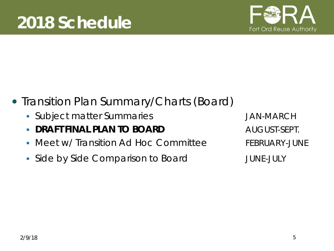

- Transition Plan Summary/Charts (Board)
	- **Subject matter Summaries Group Constrained Annual System** JAN-MARCH
	- **DRAFT FINAL PLAN TO BOARD AUGUST-SEPT.**
	- Meet w/ Transition Ad Hoc Committee FEBRUARY-JUNE
	- Side by Side Comparison to Board TUNE-JULY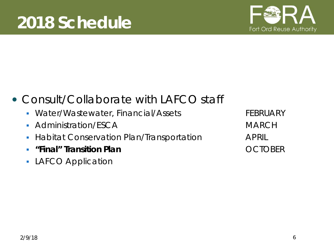

#### Consult/Collaborate with LAFCO staff

- Water/Wastewater, Financial/Assets FEBRUARY
- Administration/ESCA MARCH
- **Habitat Conservation Plan/Transportation APRIL**
- **"Final" Transition Plan** OCTOBER
- **LAFCO Application**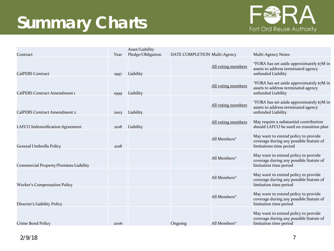# **Summary Charts**



|                                        |      | Asset/Liability   |                              |                    |                                                                                                            |
|----------------------------------------|------|-------------------|------------------------------|--------------------|------------------------------------------------------------------------------------------------------------|
| Contract                               | Year | Pledge/Obligation | DATE COMPLETION Multi-Agency |                    | Multi-Agency Notes                                                                                         |
| <b>CalPERS Contract</b>                | 1997 | Liability         |                              | All voting members | *FORA has set aside approximately \$7M in<br>assets to address terminated agency<br>unfunded Liability     |
| CalPERS Contract Amendment 1           | 1999 | Liability         |                              | All voting members | *FORA has set aside approximately \$7M in<br>assets to address terminated agency<br>unfunded Liability     |
| CalPERS Contract Amendment 2           | 2003 | Liability         |                              | All voting members | *FORA has set aside approximately \$7M in<br>assets to address terminated agency<br>unfunded Liability     |
| LAFCO Indemnification Agreement        | 2018 | Liability         |                              | All voting members | May require a substantial contribution<br>should LAFCO be sued on transition plan                          |
| General Umbrella Policy                | 2018 |                   |                              | All Members*       | May want to extend policy to provide<br>coverage during any possible Statute of<br>limitations time period |
| Commercial Property/Premises Liability |      |                   |                              | All Members*       | May want to extend policy to provide<br>coverage during any possible Statute of<br>limitation time period  |
| <b>Worker's Compensation Policy</b>    |      |                   |                              | All Members*       | May want to extend policy to provide<br>coverage during any possible Statute of<br>limitation time period  |
| Director's Liability Policy            |      |                   |                              | All Members*       | May want to extend policy to provide<br>coverage during any possible Statute of<br>limitation time period  |
| Crime Bond Policy                      | 2006 |                   | Ongoing                      | All Members*       | May want to extend policy to provide<br>coverage during any possible Statute of<br>limitation time period  |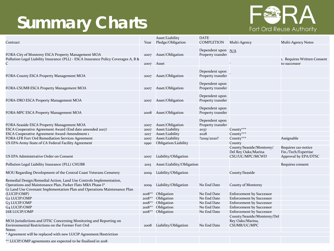## **Summary Charts**



| Contract                                                                                                                         | Year         | Asset/Liability<br>Pledge/Obligation | DATE<br><b>COMPLETION</b>               | Multi-Agency                                                    | Multi-Agency Notes                          |
|----------------------------------------------------------------------------------------------------------------------------------|--------------|--------------------------------------|-----------------------------------------|-----------------------------------------------------------------|---------------------------------------------|
| FORA-City of Monterey ESCA Property Management MOA                                                                               | 2007         | Asset/Obligation                     | Dependent upon N/A<br>Property transfer |                                                                 |                                             |
| Pollution Legal Liability Insurance (PLL) - ESCA Insurance Policy Coverages A, B &<br>C                                          |              | Asset                                |                                         |                                                                 | 1. Requires Written Consent<br>to successor |
|                                                                                                                                  |              |                                      | Dependent upon                          |                                                                 |                                             |
| FORA-County ESCA Property Management MOA                                                                                         | 2007         | Asset/Obligation                     | Property transfer                       |                                                                 |                                             |
| FORA-CSUMB ESCA Property Management MOA                                                                                          | 2007         | Asset/Obligation                     | Dependent upon<br>Property transfer     |                                                                 |                                             |
| FORA-DRO ESCA Property Management MOA                                                                                            | 2007         | Asset/Obligation                     | Dependent upon<br>Property transfer     |                                                                 |                                             |
| FORA-MPC ESCA Property Management MOA                                                                                            | 2008         | Asset/Obligation                     | Dependent upon<br>Property transfer     |                                                                 |                                             |
|                                                                                                                                  |              |                                      | Dependent upon                          |                                                                 |                                             |
| FORA-Seaside ESCA Property Management MOA                                                                                        | 2007         | Asset/Obligation                     | Property transfer                       |                                                                 |                                             |
| ESCA Cooperative Agreement Award (End date amended 2017)                                                                         | 2007         | Asset/Liability                      | 2037                                    | County***<br>County***                                          |                                             |
| <b>ESCA Cooperative Agreement Award-Amendment 1</b><br>FORA-LFR Fort Ord Remediation Services Agreement                          | 2017         | Asset/Liability<br>Asset/Liability   | 2028<br>?2019/2020?                     | County***                                                       | Assignable                                  |
| US EPA-Army-State of CA Federal Facility Agreement                                                                               | 2007<br>1990 | Obligation/Liability                 |                                         | County                                                          |                                             |
|                                                                                                                                  |              |                                      |                                         | County/Seaside/Monterey/                                        | Requires 120-notice                         |
| US EPA Administrative Order on Consent                                                                                           | 2007         | Liability/Obligation                 |                                         | Del Rey Oaks/Marina<br>CSU/UC/MPC/MCWD                          | Fin./Tech/Expertise<br>Approval by EPA/DTSC |
| Pollution Legal Liability Insurance (PLL) CHUBB                                                                                  | 2015         | Asset/Liability/Obligation           |                                         |                                                                 | Requires consent                            |
| MOU Regarding Development of the Central Coast Veterans Cemetery                                                                 | 2009         | Liability/Obligation                 |                                         | County/Seaside                                                  |                                             |
| Remedial Design/Remedial Action, Land Use Controls Implementation,<br>Operations and Maintenance Plan, Parker Flats MRA Phase I* | 2009         | Liability/Obligation                 | No End Date                             | <b>County of Monterey</b>                                       |                                             |
| G1 Land Use Covenant Implementation Plan and Operations Maintenance Plan<br>(LUCIP/OMP)                                          | $2018**$     | Obligation                           | No End Date                             | <b>Enforcement by Successor</b>                                 |                                             |
| <b>G2 LUCIP/OMP</b>                                                                                                              | $2018**$     | Obligation                           | No End Date                             | <b>Enforcement by Successor</b>                                 |                                             |
| G <sub>3</sub> LUCIP/OMP                                                                                                         | $2018**$     | Obligation                           | No End Date                             | <b>Enforcement by Successor</b>                                 |                                             |
| G4 LUCIP/OMP                                                                                                                     | $2018**$     | Obligation                           | No End Date                             | <b>Enforcement by Successor</b>                                 |                                             |
| <b>IAR LUCIP/OMP</b>                                                                                                             | $2018**$     | Obligation                           | No End Date                             | <b>Enforcement by Successor</b>                                 |                                             |
| MOA Jurisdictions and DTSC Concerning Monitoring and Reporting on<br>Environmental Restrictions on the Former Fort Ord           | 2008         | Liability/Obligation                 | No End Date                             | County/Seaside/Monterey/Del<br>Rey Oaks/Marina,<br>CSUMB/UC/MPC |                                             |
| Notes:                                                                                                                           |              |                                      |                                         |                                                                 |                                             |
| * Agreement will be replaced with new LUCIP Agreement/Restriction                                                                |              |                                      |                                         |                                                                 |                                             |
| ** LUCIP/OMP agreements are expected to be finalized in 2018                                                                     |              |                                      |                                         |                                                                 |                                             |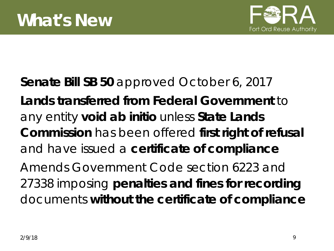

### **Senate Bill SB 50** approved October 6, 2017 **Lands transferred from Federal Government** to any entity **void ab initio** unless **State Lands Commission** has been offered **first right of refusal**  and have issued a **certificate of compliance** Amends Government Code section 6223 and 27338 imposing **penalties and fines for recording**  documents **without the certificate of compliance**